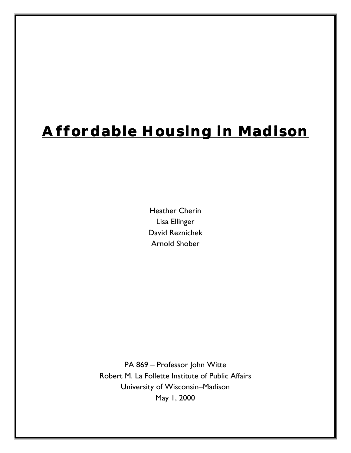# **Affordable Housing in Madison**

Heather Cherin Lisa Ellinger David Reznichek Arnold Shober

PA 869 – Professor John Witte Robert M. La Follette Institute of Public Affairs University of Wisconsin–Madison May 1, 2000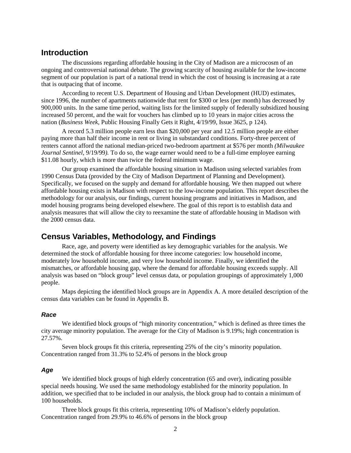### **Introduction**

The discussions regarding affordable housing in the City of Madison are a microcosm of an ongoing and controversial national debate. The growing scarcity of housing available for the low-income segment of our population is part of a national trend in which the cost of housing is increasing at a rate that is outpacing that of income.

According to recent U.S. Department of Housing and Urban Development (HUD) estimates, since 1996, the number of apartments nationwide that rent for \$300 or less (per month) has decreased by 900,000 units. In the same time period, waiting lists for the limited supply of federally subsidized housing increased 50 percent, and the wait for vouchers has climbed up to 10 years in major cities across the nation (*Business Week,* Public Housing Finally Gets it Right, 4/19/99, Issue 3625, p 124).

A record 5.3 million people earn less than \$20,000 per year and 12.5 million people are either paying more than half their income in rent or living in substandard conditions. Forty-three percent of renters cannot afford the national median-priced two-bedroom apartment at \$576 per month *(Milwaukee Journal Sentinel*, 9/19/99*).* To do so, the wage earner would need to be a full-time employee earning \$11.08 hourly, which is more than twice the federal minimum wage.

Our group examined the affordable housing situation in Madison using selected variables from 1990 Census Data (provided by the City of Madison Department of Planning and Development)*.* Specifically, we focused on the supply and demand for affordable housing. We then mapped out where affordable housing exists in Madison with respect to the low-income population. This report describes the methodology for our analysis, our findings, current housing programs and initiatives in Madison, and model housing programs being developed elsewhere. The goal of this report is to establish data and analysis measures that will allow the city to reexamine the state of affordable housing in Madison with the 2000 census data.

### **Census Variables, Methodology, and Findings**

Race, age, and poverty were identified as key demographic variables for the analysis. We determined the stock of affordable housing for three income categories: low household income, moderately low household income, and very low household income. Finally, we identified the mismatches, or affordable housing gap, where the demand for affordable housing exceeds supply. All analysis was based on "block group" level census data, or population groupings of approximately 1,000 people.

Maps depicting the identified block groups are in Appendix A. A more detailed description of the census data variables can be found in Appendix B.

### **Race**

We identified block groups of "high minority concentration," which is defined as three times the city average minority population. The average for the City of Madison is 9.19%; high concentration is 27.57%.

Seven block groups fit this criteria, representing 25% of the city's minority population. Concentration ranged from 31.3% to 52.4% of persons in the block group

### **Age**

We identified block groups of high elderly concentration (65 and over), indicating possible special needs housing. We used the same methodology established for the minority population. In addition, we specified that to be included in our analysis, the block group had to contain a minimum of 100 households.

Three block groups fit this criteria, representing 10% of Madison's elderly population. Concentration ranged from 29.9% to 46.6% of persons in the block group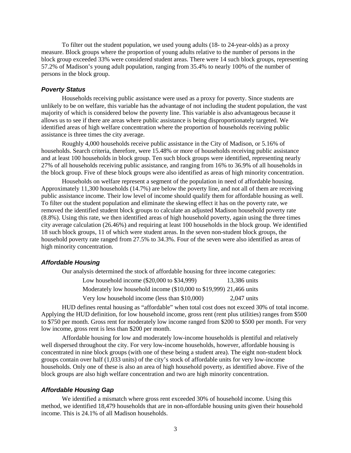To filter out the student population, we used young adults (18- to 24-year-olds) as a proxy measure. Block groups where the proportion of young adults relative to the number of persons in the block group exceeded 33% were considered student areas. There were 14 such block groups, representing 57.2% of Madison's young adult population, ranging from 35.4% to nearly 100% of the number of persons in the block group.

#### **Poverty Status**

Households receiving public assistance were used as a proxy for poverty. Since students are unlikely to be on welfare, this variable has the advantage of not including the student population, the vast majority of which is considered below the poverty line. This variable is also advantageous because it allows us to see if there are areas where public assistance is being disproportionately targeted. We identified areas of high welfare concentration where the proportion of households receiving public assistance is three times the city average.

Roughly 4,000 households receive public assistance in the City of Madison, or 5.16% of households. Search criteria, therefore, were 15.48% or more of households receiving public assistance and at least 100 households in block group. Ten such block groups were identified, representing nearly 27% of all households receiving public assistance, and ranging from 16% to 36.9% of all households in the block group. Five of these block groups were also identified as areas of high minority concentration.

Households on welfare represent a segment of the population in need of affordable housing. Approximately 11,300 households (14.7%) are below the poverty line, and not all of them are receiving public assistance income. Their low level of income should qualify them for affordable housing as well. To filter out the student population and eliminate the skewing effect it has on the poverty rate, we removed the identified student block groups to calculate an adjusted Madison household poverty rate (8.8%). Using this rate, we then identified areas of high household poverty, again using the three times city average calculation (26.46%) and requiring at least 100 households in the block group. We identified 18 such block groups, 11 of which were student areas. In the seven non-student block groups, the household poverty rate ranged from 27.5% to 34.3%. Four of the seven were also identified as areas of high minority concentration.

#### **Affordable Housing**

Our analysis determined the stock of affordable housing for three income categories:

| Low household income $(\$20,000$ to $\$34,999)$                     | 13,386 units  |
|---------------------------------------------------------------------|---------------|
| Moderately low household income (\$10,000 to \$19,999) 21,466 units |               |
| Very low household income (less than \$10,000)                      | $2.047$ units |

HUD defines rental housing as "affordable" when total cost does not exceed 30% of total income. Applying the HUD definition, for low household income, gross rent (rent plus utilities) ranges from \$500 to \$750 per month. Gross rent for moderately low income ranged from \$200 to \$500 per month. For very low income, gross rent is less than \$200 per month.

Affordable housing for low and moderately low-income households is plentiful and relatively well dispersed throughout the city. For very low-income households, however, affordable housing is concentrated in nine block groups (with one of these being a student area). The eight non-student block groups contain over half (1,033 units) of the city's stock of affordable units for very low-income households. Only one of these is also an area of high household poverty, as identified above. Five of the block groups are also high welfare concentration and two are high minority concentration.

### **Affordable Housing Gap**

We identified a mismatch where gross rent exceeded 30% of household income. Using this method, we identified 18,479 households that are in non-affordable housing units given their household income. This is 24.1% of all Madison households.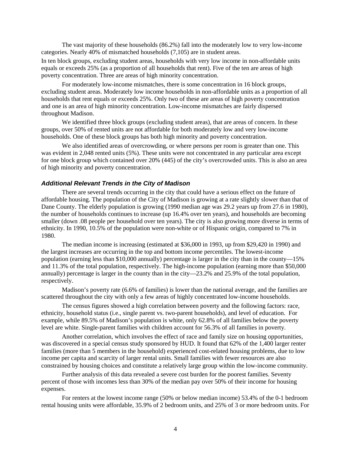The vast majority of these households (86.2%) fall into the moderately low to very low-income categories. Nearly 40% of mismatched households (7,105) are in student areas.

In ten block groups, excluding student areas, households with very low income in non-affordable units equals or exceeds 25% (as a proportion of all households that rent). Five of the ten are areas of high poverty concentration. Three are areas of high minority concentration.

For moderately low-income mismatches, there is some concentration in 16 block groups, excluding student areas. Moderately low income households in non-affordable units as a proportion of all households that rent equals or exceeds 25%. Only two of these are areas of high poverty concentration and one is an area of high minority concentration. Low-income mismatches are fairly dispersed throughout Madison.

We identified three block groups (excluding student areas), that are areas of concern. In these groups, over 50% of rented units are not affordable for both moderately low and very low-income households. One of these block groups has both high minority and poverty concentration.

We also identified areas of overcrowding, or where persons per room is greater than one. This was evident in 2,048 rented units (5%). These units were not concentrated in any particular area except for one block group which contained over 20% (445) of the city's overcrowded units. This is also an area of high minority and poverty concentration.

### **Additional Relevant Trends in the City of Madison**

There are several trends occurring in the city that could have a serious effect on the future of affordable housing. The population of the City of Madison is growing at a rate slightly slower than that of Dane County. The elderly population is growing (1990 median age was 29.2 years up from 27.6 in 1980), the number of households continues to increase (up 16.4% over ten years), and households are becoming smaller (down .08 people per household over ten years). The city is also growing more diverse in terms of ethnicity. In 1990, 10.5% of the population were non-white or of Hispanic origin, compared to 7% in 1980.

The median income is increasing (estimated at \$36,000 in 1993, up from \$29,420 in 1990) and the largest increases are occurring in the top and bottom income percentiles. The lowest-income population (earning less than \$10,000 annually) percentage is larger in the city than in the county—15% and 11.3% of the total population, respectively. The high-income population (earning more than \$50,000 annually) percentage is larger in the county than in the city—23.2% and 25.9% of the total population, respectively.

Madison's poverty rate (6.6% of families) is lower than the national average, and the families are scattered throughout the city with only a few areas of highly concentrated low-income households.

The census figures showed a high correlation between poverty and the following factors: race, ethnicity, household status (i.e., single parent vs. two-parent households), and level of education. For example, while 89.5% of Madison's population is white, only 62.8% of all families below the poverty level are white. Single-parent families with children account for 56.3% of all families in poverty.

Another correlation, which involves the effect of race and family size on housing opportunities, was discovered in a special census study sponsored by HUD. It found that 62% of the 1,400 larger renter families (more than 5 members in the household) experienced cost-related housing problems, due to low income per capita and scarcity of larger rental units. Small families with fewer resources are also constrained by housing choices and constitute a relatively large group within the low-income community.

Further analysis of this data revealed a severe cost burden for the poorest families. Seventy percent of those with incomes less than 30% of the median pay over 50% of their income for housing expenses.

For renters at the lowest income range (50% or below median income) 53.4% of the 0-1 bedroom rental housing units were affordable, 35.9% of 2 bedroom units, and 25% of 3 or more bedroom units. For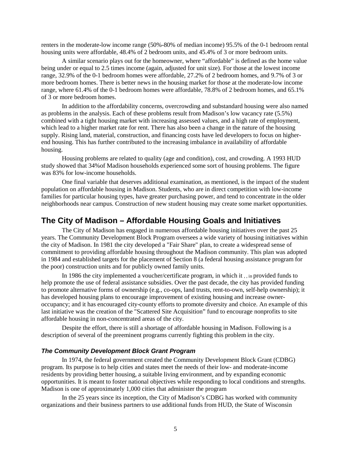renters in the moderate-low income range (50%-80% of median income) 95.5% of the 0-1 bedroom rental housing units were affordable, 48.4% of 2 bedroom units, and 45.4% of 3 or more bedroom units.

A similar scenario plays out for the homeowner, where "affordable" is defined as the home value being under or equal to 2.5 times income (again, adjusted for unit size). For those at the lowest income range, 32.9% of the 0-1 bedroom homes were affordable, 27.2% of 2 bedroom homes, and 9.7% of 3 or more bedroom homes. There is better news in the housing market for those at the moderate-low income range, where 61.4% of the 0-1 bedroom homes were affordable, 78.8% of 2 bedroom homes, and 65.1% of 3 or more bedroom homes.

In addition to the affordability concerns, overcrowding and substandard housing were also named as problems in the analysis. Each of these problems result from Madison's low vacancy rate (5.5%) combined with a tight housing market with increasing assessed values, and a high rate of employment, which lead to a higher market rate for rent. There has also been a change in the nature of the housing supply. Rising land, material, construction, and financing costs have led developers to focus on higherend housing. This has further contributed to the increasing imbalance in availability of affordable housing.

Housing problems are related to quality (age and condition), cost, and crowding. A 1993 HUD study showed that 34%of Madison households experienced some sort of housing problems. The figure was 83% for low-income households.

One final variable that deserves additional examination, as mentioned, is the impact of the student population on affordable housing in Madison. Students, who are in direct competition with low-income families for particular housing types, have greater purchasing power, and tend to concentrate in the older neighborhoods near campus. Construction of new student housing may create some market opportunities.

### **The City of Madison – Affordable Housing Goals and Initiatives**

The City of Madison has engaged in numerous affordable housing initiatives over the past 25 years. The Community Development Block Program oversees a wide variety of housing initiatives within the city of Madison. In 1981 the city developed a "Fair Share" plan, to create a widespread sense of commitment to providing affordable housing throughout the Madison community. This plan was adopted in 1984 and established targets for the placement of Section 8 (a federal housing assistance program for the poor) construction units and for publicly owned family units.

In 1986 the city implemented a voucher/certificate program, in which it , , in provided funds to help promote the use of federal assistance subsidies. Over the past decade, the city has provided funding to promote alternative forms of ownership (e.g., co-ops, land trusts, rent-to-own, self-help ownership); it has developed housing plans to encourage improvement of existing housing and increase owneroccupancy; and it has encouraged city-county efforts to promote diversity and choice. An example of this last initiative was the creation of the "Scattered Site Acquisition" fund to encourage nonprofits to site affordable housing in non-concentrated areas of the city.

Despite the effort, there is still a shortage of affordable housing in Madison. Following is a description of several of the preeminent programs currently fighting this problem in the city.

### **The Community Development Block Grant Program**

In 1974, the federal government created the Community Development Block Grant (CDBG) program. Its purpose is to help cities and states meet the needs of their low- and moderate-income residents by providing better housing, a suitable living environment, and by expanding economic opportunities. It is meant to foster national objectives while responding to local conditions and strengths. Madison is one of approximately 1,000 cities that administer the program

In the 25 years since its inception, the City of Madison's CDBG has worked with community organizations and their business partners to use additional funds from HUD, the State of Wisconsin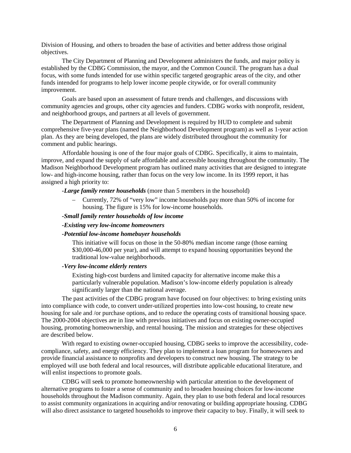Division of Housing, and others to broaden the base of activities and better address those original objectives.

The City Department of Planning and Development administers the funds, and major policy is established by the CDBG Commission, the mayor, and the Common Council. The program has a dual focus, with some funds intended for use within specific targeted geographic areas of the city, and other funds intended for programs to help lower income people citywide, or for overall community improvement.

Goals are based upon an assessment of future trends and challenges, and discussions with community agencies and groups, other city agencies and funders. CDBG works with nonprofit, resident, and neighborhood groups, and partners at all levels of government.

The Department of Planning and Development is required by HUD to complete and submit comprehensive five-year plans (named the Neighborhood Development program) as well as 1-year action plan. As they are being developed, the plans are widely distributed throughout the community for comment and public hearings.

Affordable housing is one of the four major goals of CDBG. Specifically, it aims to maintain, improve, and expand the supply of safe affordable and accessible housing throughout the community. The Madison Neighborhood Development program has outlined many activities that are designed to integrate low- and high-income housing, rather than focus on the very low income. In its 1999 report, it has assigned a high priority to:

#### *-Large family renter households* (more than 5 members in the household)

– Currently, 72% of "very low" income households pay more than 50% of income for housing. The figure is 15% for low-income households.

#### *-Small family renter households of low income*

#### *-Existing very low-income homeowners*

#### *-Potential low-income homebuyer households*

This initiative will focus on those in the 50-80% median income range (those earning \$30,000-46,000 per year), and will attempt to expand housing opportunities beyond the traditional low-value neighborhoods.

#### *-Very low-income elderly renters*

Existing high-cost burdens and limited capacity for alternative income make this a particularly vulnerable population. Madison's low-income elderly population is already significantly larger than the national average.

The past activities of the CDBG program have focused on four objectives: to bring existing units into compliance with code, to convert under-utilized properties into low-cost housing, to create new housing for sale and /or purchase options, and to reduce the operating costs of transitional housing space. The 2000-2004 objectives are in line with previous initiatives and focus on existing owner-occupied housing, promoting homeownership, and rental housing. The mission and strategies for these objectives are described below.

With regard to existing owner-occupied housing, CDBG seeks to improve the accessibility, codecompliance, safety, and energy efficiency. They plan to implement a loan program for homeowners and provide financial assistance to nonprofits and developers to construct new housing. The strategy to be employed will use both federal and local resources, will distribute applicable educational literature, and will enlist inspections to promote goals.

CDBG will seek to promote homeownership with particular attention to the development of alternative programs to foster a sense of community and to broaden housing choices for low-income households throughout the Madison community. Again, they plan to use both federal and local resources to assist community organizations in acquiring and/or renovating or building appropriate housing. CDBG will also direct assistance to targeted households to improve their capacity to buy. Finally, it will seek to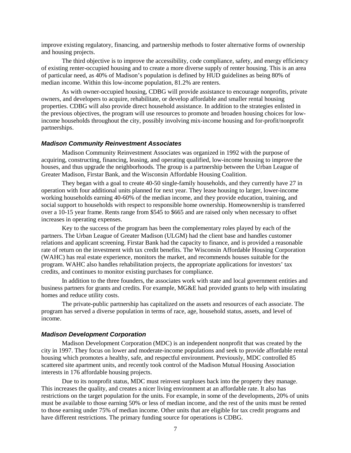improve existing regulatory, financing, and partnership methods to foster alternative forms of ownership and housing projects.

The third objective is to improve the accessibility, code compliance, safety, and energy efficiency of existing renter-occupied housing and to create a more diverse supply of renter housing. This is an area of particular need, as 40% of Madison's population is defined by HUD guidelines as being 80% of median income. Within this low-income population, 81.2% are renters.

As with owner-occupied housing, CDBG will provide assistance to encourage nonprofits, private owners, and developers to acquire, rehabilitate, or develop affordable and smaller rental housing properties. CDBG will also provide direct household assistance. In addition to the strategies enlisted in the previous objectives, the program will use resources to promote and broaden housing choices for lowincome households throughout the city, possibly involving mix-income housing and for-profit/nonprofit partnerships.

#### **Madison Community Reinvestment Associates**

Madison Community Reinvestment Associates was organized in 1992 with the purpose of acquiring, constructing, financing, leasing, and operating qualified, low-income housing to improve the houses, and thus upgrade the neighborhoods. The group is a partnership between the Urban League of Greater Madison, Firstar Bank, and the Wisconsin Affordable Housing Coalition.

They began with a goal to create 40-50 single-family households, and they currently have 27 in operation with four additional units planned for next year. They lease housing to larger, lower-income working households earning 40-60% of the median income, and they provide education, training, and social support to households with respect to responsible home ownership. Homeownership is transferred over a 10-15 year frame. Rents range from \$545 to \$665 and are raised only when necessary to offset increases in operating expenses.

Key to the success of the program has been the complementary roles played by each of the partners. The Urban League of Greater Madison (ULGM) had the client base and handles customer relations and applicant screening. Firstar Bank had the capacity to finance, and is provided a reasonable rate of return on the investment with tax credit benefits. The Wisconsin Affordable Housing Corporation (WAHC) has real estate experience, monitors the market, and recommends houses suitable for the program. WAHC also handles rehabilitation projects, the appropriate applications for investors' tax credits, and continues to monitor existing purchases for compliance.

In addition to the three founders, the associates work with state and local government entities and business partners for grants and credits. For example, MG&E had provided grants to help with insulating homes and reduce utility costs.

The private-public partnership has capitalized on the assets and resources of each associate. The program has served a diverse population in terms of race, age, household status, assets, and level of income.

### **Madison Development Corporation**

Madison Development Corporation (MDC) is an independent nonprofit that was created by the city in 1997. They focus on lower and moderate-income populations and seek to provide affordable rental housing which promotes a healthy, safe, and respectful environment. Previously, MDC controlled 85 scattered site apartment units, and recently took control of the Madison Mutual Housing Association interests in 176 affordable housing projects.

Due to its nonprofit status, MDC must reinvest surpluses back into the property they manage. This increases the quality, and creates a nicer living environment at an affordable rate. It also has restrictions on the target population for the units. For example, in some of the developments, 20% of units must be available to those earning 50% or less of median income, and the rest of the units must be rented to those earning under 75% of median income. Other units that are eligible for tax credit programs and have different restrictions. The primary funding source for operations is CDBG.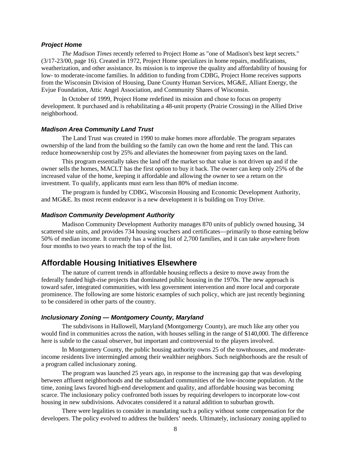### **Project Home**

*The Madison Times* recently referred to Project Home as "one of Madison's best kept secrets." (3/17-23/00, page 16). Created in 1972, Project Home specializes in home repairs, modifications, weatherization, and other assistance. Its mission is to improve the quality and affordability of housing for low- to moderate-income families. In addition to funding from CDBG, Project Home receives supports from the Wisconsin Division of Housing, Dane County Human Services, MG&E, Alliant Energy, the Evjue Foundation, Attic Angel Association, and Community Shares of Wisconsin.

In October of 1999, Project Home redefined its mission and chose to focus on property development. It purchased and is rehabilitating a 48-unit property (Prairie Crossing) in the Allied Drive neighborhood.

### **Madison Area Community Land Trust**

The Land Trust was created in 1990 to make homes more affordable. The program separates ownership of the land from the building so the family can own the home and rent the land. This can reduce homeownership cost by 25% and alleviates the homeowner from paying taxes on the land.

This program essentially takes the land off the market so that value is not driven up and if the owner sells the homes, MACLT has the first option to buy it back. The owner can keep only 25% of the increased value of the home, keeping it affordable and allowing the owner to see a return on the investment. To qualify, applicants must earn less than 80% of median income.

The program is funded by CDBG, Wisconsin Housing and Economic Development Authority, and MG&E. Its most recent endeavor is a new development it is building on Troy Drive.

### **Madison Community Development Authority**

Madison Community Development Authority manages 870 units of publicly owned housing, 34 scattered site units, and provides 734 housing vouchers and certificates—primarily to those earning below 50% of median income. It currently has a waiting list of 2,700 families, and it can take anywhere from four months to two years to reach the top of the list.

### **Affordable Housing Initiatives Elsewhere**

The nature of current trends in affordable housing reflects a desire to move away from the federally funded high-rise projects that dominated public housing in the 1970s. The new approach is toward safer, integrated communities, with less government intervention and more local and corporate prominence. The following are some historic examples of such policy, which are just recently beginning to be considered in other parts of the country.

### **Inclusionary Zoning — Montgomery County, Maryland**

The subdivisons in Hallowell, Maryland (Montgomergy County), are much like any other you would find in communities across the nation, with houses selling in the range of \$140,000. The difference here is subtle to the casual observer, but important and controversial to the players involved.

In Montgomery County, the public housing authority owns 25 of the townhouses, and moderateincome residents live intermingled among their wealthier neighbors. Such neighborhoods are the result of a program called inclusionary zoning.

The program was launched 25 years ago, in response to the increasing gap that was developing between affluent neighborhoods and the substandard communities of the low-income population. At the time, zoning laws favored high-end development and quality, and affordable housing was becoming scarce. The inclusionary policy confronted both issues by requiring developers to incorporate low-cost housing in new subdivisions. Advocates considered it a natural addition to suburban growth.

There were legalities to consider in mandating such a policy without some compensation for the developers. The policy evolved to address the builders' needs. Ultimately, inclusionary zoning applied to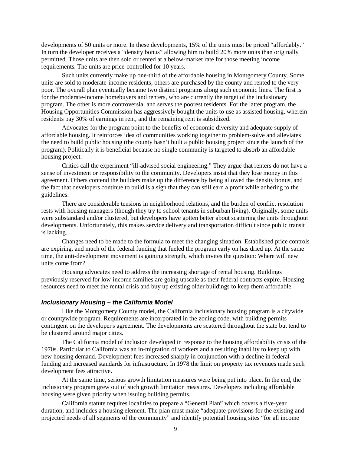developments of 50 units or more. In these developments, 15% of the units must be priced "affordably." In turn the developer receives a "density bonus" allowing him to build 20% more units than originally permitted. Those units are then sold or rented at a below-market rate for those meeting income requirements. The units are price-controlled for 10 years.

Such units currently make up one-third of the affordable housing in Montgomery County. Some units are sold to moderate-income residents; others are purchased by the county and rented to the very poor. The overall plan eventually became two distinct programs along such economic lines. The first is for the moderate-income homebuyers and renters, who are currently the target of the inclusionary program. The other is more controversial and serves the poorest residents. For the latter program, the Housing Opportunities Commission has aggressively bought the units to use as assisted housing, wherein residents pay 30% of earnings in rent, and the remaining rent is subsidized.

Advocates for the program point to the benefits of economic diversity and adequate supply of affordable housing. It reinforces idea of communities working together to problem-solve and alleviates the need to build public housing (the county hasn't built a public housing project since the launch of the program). Politically it is beneficial because no single community is targeted to absorb an affordable housing project.

Critics call the experiment "ill-advised social engineering." They argue that renters do not have a sense of investment or responsibility to the community. Developers insist that they lose money in this agreement. Others contend the builders make up the difference by being allowed the density bonus, and the fact that developers continue to build is a sign that they can still earn a profit while adhering to the guidelines.

There are considerable tensions in neighborhood relations, and the burden of conflict resolution rests with housing managers (though they try to school tenants in suburban living). Originally, some units were substandard and/or clustered, but developers have gotten better about scattering the units throughout developments. Unfortunately, this makes service delivery and transportation difficult since public transit is lacking.

Changes need to be made to the formula to meet the changing situation. Established price controls are expiring, and much of the federal funding that fueled the program early on has dried up. At the same time, the anti-development movement is gaining strength, which invites the question: Where will new units come from?

Housing advocates need to address the increasing shortage of rental housing. Buildings previously reserved for low-income families are going upscale as their federal contracts expire. Housing resources need to meet the rental crisis and buy up existing older buildings to keep them affordable.

### **Inclusionary Housing – the California Model**

Like the Montgomery County model, the California inclusionary housing program is a citywide or countywide program. Requirements are incorporated in the zoning code, with building permits contingent on the developer's agreement. The developments are scattered throughout the state but tend to be clustered around major cities.

The California model of inclusion developed in response to the housing affordability crisis of the 1970s. Particular to California was an in-migration of workers and a resulting inability to keep up with new housing demand. Development fees increased sharply in conjunction with a decline in federal funding and increased standards for infrastructure. In 1978 the limit on property tax revenues made such development fees attractive.

At the same time, serious growth limitation measures were being put into place. In the end, the inclusionary program grew out of such growth limitation measures. Developers including affordable housing were given priority when issuing building permits.

California statute requires localities to prepare a "General Plan" which covers a five-year duration, and includes a housing element. The plan must make "adequate provisions for the existing and projected needs of all segments of the community" and identify potential housing sites "for all income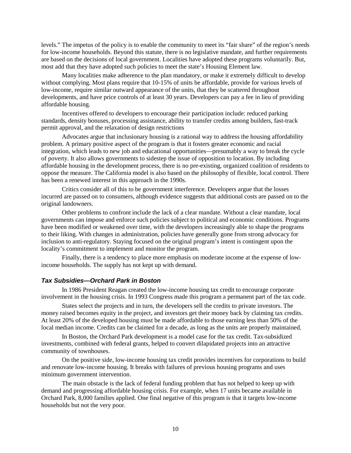levels." The impetus of the policy is to enable the community to meet its "fair share" of the region's needs for low-income households. Beyond this statute, there is no legislative mandate, and further requirements are based on the decisions of local government. Localities have adopted these programs voluntarily. But, most add that they have adopted such policies to meet the state's Housing Element law.

Many localities make adherence to the plan mandatory, or make it extremely difficult to develop without complying. Most plans require that 10-15% of units be affordable, provide for various levels of low-income, require similar outward appearance of the units, that they be scattered throughout developments, and have price controls of at least 30 years. Developers can pay a fee in lieu of providing affordable housing.

Incentives offered to developers to encourage their participation include: reduced parking standards, density bonuses, processing assistance, ability to transfer credits among builders, fast-track permit approval, and the relaxation of design restrictions

Advocates argue that inclusionary housing is a rational way to address the housing affordability problem. A primary positive aspect of the program is that it fosters greater economic and racial integration, which leads to new job and educational opportunities—presumably a way to break the cycle of poverty. It also allows governments to sidestep the issue of opposition to location. By including affordable housing in the development process, there is no pre-existing, organized coalition of residents to oppose the measure. The California model is also based on the philosophy of flexible, local control. There has been a renewed interest in this approach in the 1990s.

Critics consider all of this to be government interference. Developers argue that the losses incurred are passed on to consumers, although evidence suggests that additional costs are passed on to the original landowners.

Other problems to confront include the lack of a clear mandate. Without a clear mandate, local governments can impose and enforce such policies subject to political and economic conditions. Programs have been modified or weakened over time, with the developers increasingly able to shape the programs to their liking. With changes in administration, policies have generally gone from strong advocacy for inclusion to anti-regulatory. Staying focused on the original program's intent is contingent upon the locality's commitment to implement and monitor the program.

Finally, there is a tendency to place more emphasis on moderate income at the expense of lowincome households. The supply has not kept up with demand.

### **Tax Subsidies—Orchard Park in Boston**

In 1986 President Reagan created the low-income housing tax credit to encourage corporate involvement in the housing crisis. In 1993 Congress made this program a permanent part of the tax code.

States select the projects and in turn, the developers sell the credits to private investors. The money raised becomes equity in the project, and investors get their money back by claiming tax credits. At least 20% of the developed housing must be made affordable to those earning less than 50% of the local median income. Credits can be claimed for a decade, as long as the units are properly maintained.

In Boston, the Orchard Park development is a model case for the tax credit. Tax-subsidized investments, combined with federal grants, helped to convert dilapidated projects into an attractive community of townhouses.

On the positive side, low-income housing tax credit provides incentives for corporations to build and renovate low-income housing. It breaks with failures of previous housing programs and uses minimum government intervention.

The main obstacle is the lack of federal funding problem that has not helped to keep up with demand and progressing affordable housing crisis. For example, when 17 units became available in Orchard Park, 8,000 families applied. One final negative of this program is that it targets low-income households but not the very poor.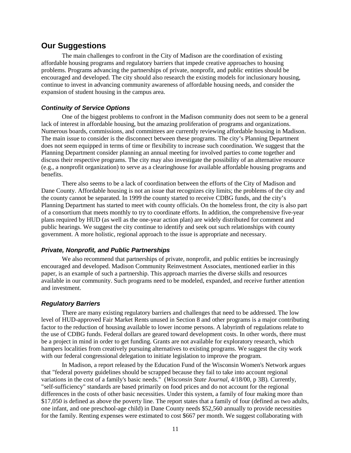### **Our Suggestions**

The main challenges to confront in the City of Madison are the coordination of existing affordable housing programs and regulatory barriers that impede creative approaches to housing problems. Programs advancing the partnerships of private, nonprofit, and public entities should be encouraged and developed. The city should also research the existing models for inclusionary housing, continue to invest in advancing community awareness of affordable housing needs, and consider the expansion of student housing in the campus area.

### **Continuity of Service Options**

One of the biggest problems to confront in the Madison community does not seem to be a general lack of interest in affordable housing, but the amazing proliferation of programs and organizations. Numerous boards, commissions, and committees are currently reviewing affordable housing in Madison. The main issue to consider is the disconnect between these programs. The city's Planning Department does not seem equipped in terms of time or flexibility to increase such coordination. We suggest that the Planning Department consider planning an annual meeting for involved parties to come together and discuss their respective programs. The city may also investigate the possibility of an alternative resource (e.g., a nonprofit organization) to serve as a clearinghouse for available affordable housing programs and benefits.

There also seems to be a lack of coordination between the efforts of the City of Madison and Dane County. Affordable housing is not an issue that recognizes city limits; the problems of the city and the county cannot be separated. In 1999 the county started to receive CDBG funds, and the city's Planning Department has started to meet with county officials. On the homeless front, the city is also part of a consortium that meets monthly to try to coordinate efforts. In addition, the comprehensive five-year plans required by HUD (as well as the one-year action plan) are widely distributed for comment and public hearings. We suggest the city continue to identify and seek out such relationships with county government. A more holistic, regional approach to the issue is appropriate and necessary.

### **Private, Nonprofit, and Public Partnerships**

We also recommend that partnerships of private, nonprofit, and public entities be increasingly encouraged and developed. Madison Community Reinvestment Associates, mentioned earlier in this paper, is an example of such a partnership. This approach marries the diverse skills and resources available in our community. Such programs need to be modeled, expanded, and receive further attention and investment.

### **Regulatory Barriers**

There are many existing regulatory barriers and challenges that need to be addressed. The low level of HUD-approved Fair Market Rents unused in Section 8 and other programs is a major contributing factor to the reduction of housing available to lower income persons. A labyrinth of regulations relate to the use of CDBG funds. Federal dollars are geared toward development costs. In other words, there must be a project in mind in order to get funding. Grants are not available for exploratory research, which hampers localities from creatively pursuing alternatives to existing programs. We suggest the city work with our federal congressional delegation to initiate legislation to improve the program.

In Madison, a report released by the Education Fund of the Wisconsin Women's Network argues that "federal poverty guidelines should be scrapped because they fail to take into account regional variations in the cost of a family's basic needs." (*Wisconsin State Journal*, 4/18/00, p 3B)*.* Currently, "self-sufficiency" standards are based primarily on food prices and do not account for the regional differences in the costs of other basic necessities. Under this system, a family of four making more than \$17,050 is defined as above the poverty line. The report states that a family of four (defined as two adults, one infant, and one preschool-age child) in Dane County needs \$52,560 annually to provide necessities for the family. Renting expenses were estimated to cost \$667 per month. We suggest collaborating with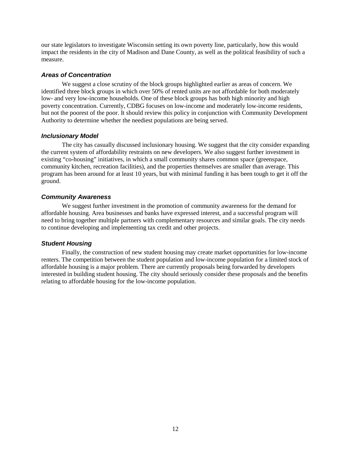our state legislators to investigate Wisconsin setting its own poverty line, particularly, how this would impact the residents in the city of Madison and Dane County, as well as the political feasibility of such a measure.

### **Areas of Concentration**

We suggest a close scrutiny of the block groups highlighted earlier as areas of concern. We identified three block groups in which over 50% of rented units are not affordable for both moderately low- and very low-income households. One of these block groups has both high minority and high poverty concentration. Currently, CDBG focuses on low-income and moderately low-income residents, but not the poorest of the poor. It should review this policy in conjunction with Community Development Authority to determine whether the neediest populations are being served.

### **Inclusionary Model**

The city has casually discussed inclusionary housing. We suggest that the city consider expanding the current system of affordability restraints on new developers. We also suggest further investment in existing "co-housing" initiatives, in which a small community shares common space (greenspace, community kitchen, recreation facilities), and the properties themselves are smaller than average. This program has been around for at least 10 years, but with minimal funding it has been tough to get it off the ground.

### **Community Awareness**

We suggest further investment in the promotion of community awareness for the demand for affordable housing. Area businesses and banks have expressed interest, and a successful program will need to bring together multiple partners with complementary resources and similar goals. The city needs to continue developing and implementing tax credit and other projects.

### **Student Housing**

Finally, the construction of new student housing may create market opportunities for low-income renters. The competition between the student population and low-income population for a limited stock of affordable housing is a major problem. There are currently proposals being forwarded by developers interested in building student housing. The city should seriously consider these proposals and the benefits relating to affordable housing for the low-income population.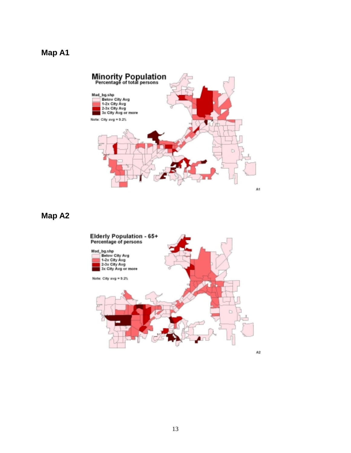

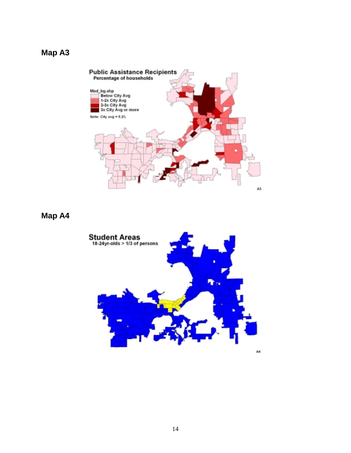

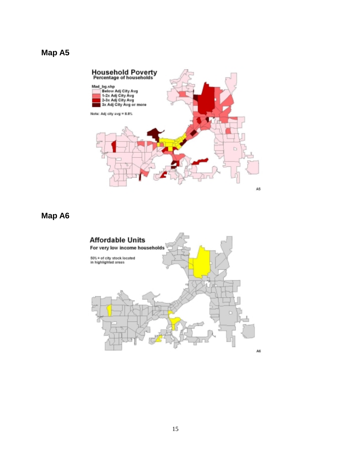

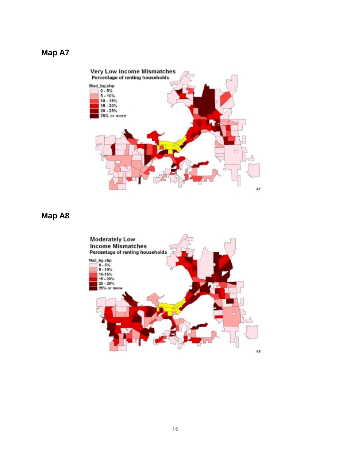

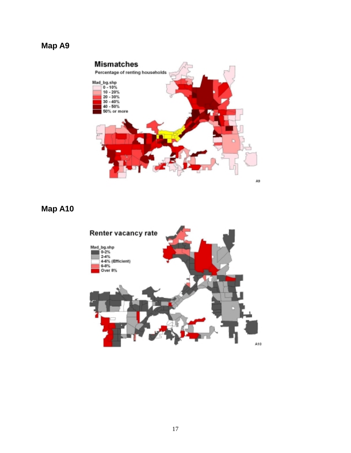

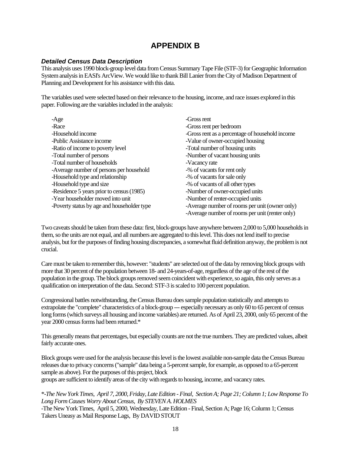# **APPENDIX B**

### **Detailed Census Data Description**

This analysis uses 1990 block-group level data from Census Summary Tape File (STF-3) for Geographic Information System analysis in EASI's ArcView. We would like to thank Bill Lanier from the City of Madison Department of Planning and Development for his assistance with this data.

The variables used were selected based on their relevance to the housing, income, and race issues explored in this paper. Following are the variables included in the analysis:

| $-Age$                                      | -Gross rent                                     |
|---------------------------------------------|-------------------------------------------------|
| -Race                                       | -Gross rent per bedroom                         |
| -Household income                           | -Gross rent as a percentage of household income |
| -Public Assistance income                   | -Value of owner-occupied housing                |
| -Ratio of income to poverty level           | -Total number of housing units                  |
| -Total number of persons                    | -Number of vacant housing units                 |
| -Total number of households                 | -Vacancy rate                                   |
| -Average number of persons per household    | -% of vacants for rent only                     |
| -Household type and relationship            | -% of vacants for sale only                     |
| -Household type and size                    | -% of vacants of all other types                |
| -Residence 5 years prior to census (1985)   | -Number of owner-occupied units                 |
| -Year householder moved into unit           | -Number of renter-occupied units                |
| -Poverty status by age and householder type | -Average number of rooms per unit (owner only)  |
|                                             | -Average number of rooms per unit (renter only) |

Two caveats should be taken from these data: first, block-groups have anywhere between 2,000 to 5,000 households in them, so the units are not equal, and all numbers are aggregated to this level. This does not lend itself to precise analysis, but for the purposes of finding housing discrepancies, a somewhat fluid definition anyway, the problem is not crucial.

Care must be taken to remember this, however: "students" are selected out of the data by removing block groups with more that 30 percent of the population between 18- and 24-years-of-age, regardless of the age of the rest of the population in the group. The block groups removed seem coincident with experience, so again, this only serves as a qualification on interpretation of the data. Second: STF-3 is scaled to 100 percent population.

Congressional battles notwithstanding, the Census Bureau does sample population statistically and attempts to extrapolate the "complete" characteristics of a block-group --- especially necessary as only 60 to 65 percent of census long forms (which surveys all housing and income variables) are returned. As of April 23, 2000, only 65 percent of the year 2000 census forms had been returned.\*

This generally means that percentages, but especially counts are not the true numbers. They are predicted values, albeit fairly accurate ones.

Block groups were used for the analysis because this level is the lowest available non-sample data the Census Bureau releases due to privacy concerns ("sample" data being a 5-percent sample, for example, as opposed to a 65-percent sample as above). For the purposes of this project, block

groups are sufficient to identify areas of the city with regards to housing, income, and vacancy rates.

\*-*The New York Times, April 7, 2000, Friday, Late Edition - Final, Section A; Page 21; Column 1; Low Response To Long Form Causes Worry About Census, By STEVEN A. HOLMES* 

-The New York Times, April 5, 2000, Wednesday, Late Edition - Final, Section A; Page 16; Column 1; Census Takers Uneasy as Mail Response Lags, By DAVID STOUT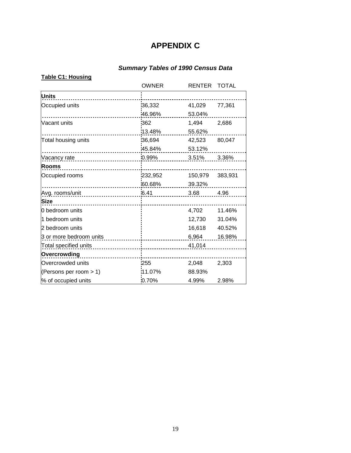# **APPENDIX C**

# **Summary Tables of 1990 Census Data**

|                         | <b>OWNER</b> | <b>RENTER</b> | <b>TOTAL</b> |
|-------------------------|--------------|---------------|--------------|
| <b>Units</b>            |              |               |              |
| Occupied units          | 36,332       | 41,029        | 77,361       |
|                         | 46.96%       | 53.04%        |              |
| Vacant units            | 362          | 1,494         | 2,686        |
|                         | 13.48%       | 55.62%        |              |
| Total housing units     | 36,694       | 42,523        | 80,047       |
|                         | 45.84%       | 53.12%        |              |
| Vacancy rate            | 0.99%        | 3.51%         | 3.36%        |
| Rooms                   |              |               |              |
| Occupied rooms          | 232,952      | 150,979       | 383,931      |
|                         | 60.68%       | 39.32%        |              |
| Avg. rooms/unit         | 6.41         | 3.68          | 4.96         |
| <b>Size</b>             |              |               |              |
| 0 bedroom units         |              | 4,702         | 11.46%       |
| 1 bedroom units         |              | 12,730        | 31.04%       |
| 2 bedroom units         |              | 16,618        | 40.52%       |
| 3 or more bedroom units |              | 6,964         | 16.98%       |
| Total specified units   |              | 41,014        |              |
| Overcrowding            |              |               |              |
| Overcrowded units       | 255          | 2,048         | 2,303        |
| (Persons per room > 1)  | 11.07%       | 88.93%        |              |
| % of occupied units     | 0.70%        | 4.99%         | 2.98%        |

### **Table C1: Housing**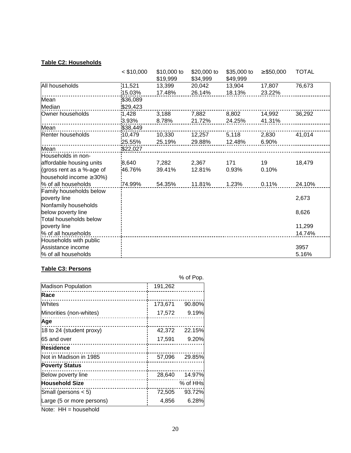### **Table C2: Households**

|                                | $<$ \$10,000 | \$10,000 to<br>\$19,999 | \$20,000 to<br>\$34,999 | \$35,000 to<br>\$49,999 | $\geq$ \$50,000 | <b>TOTAL</b> |
|--------------------------------|--------------|-------------------------|-------------------------|-------------------------|-----------------|--------------|
| All households                 | 11,521       | 13,399                  | 20,042                  | 13,904                  | 17,807          | 76,673       |
|                                | 15.03%       | 17.48%                  | 26.14%                  | 18.13%                  | 23.22%          |              |
| Mean                           | \$36,089     |                         |                         |                         |                 |              |
| Median                         | \$29,423     |                         |                         |                         |                 |              |
| Owner households               | 1,428        | 3,188                   | 7,882                   | 8,802                   | 14,992          | 36,292       |
|                                | 3.93%        | 8.78%                   | 21.72%                  | 24.25%                  | 41.31%          |              |
| Mean                           | \$38,449     |                         |                         |                         |                 |              |
| Renter households              | 10,479       | 10,330                  | 12,257                  | 5,118                   | 2,830           | 41,014       |
|                                | 25.55%       | 25.19%                  | 29.88%                  | 12.48%                  | 6.90%           |              |
| Mean                           | \$22,027     |                         |                         |                         |                 |              |
| Households in non-             |              |                         |                         |                         |                 |              |
| affordable housing units       | 8,640        | 7,282                   | 2,367                   | 171                     | 19              | 18,479       |
| (gross rent as a %-age of      | 46.76%       | 39.41%                  | 12.81%                  | 0.93%                   | 0.10%           |              |
| household income $\geq 30\%$ ) |              |                         |                         |                         |                 |              |
| % of all households            | 74.99%       | 54.35%                  | 11.81%                  | 1.23%                   | 0.11%           | 24.10%       |
| Family households below        |              |                         |                         |                         |                 |              |
| poverty line                   |              |                         |                         |                         |                 | 2,673        |
| Nonfamily households           |              |                         |                         |                         |                 |              |
| below poverty line             |              |                         |                         |                         |                 | 8,626        |
| Total households below         |              |                         |                         |                         |                 |              |
| poverty line                   |              |                         |                         |                         |                 | 11,299       |
| % of all households            |              |                         |                         |                         |                 | 14.74%       |
| Households with public         |              |                         |                         |                         |                 |              |
| Assistance income              |              |                         |                         |                         |                 | 3957         |
| % of all households            |              |                         |                         |                         |                 | 5.16%        |

### **Table C3: Persons**

|                           |         | % of Pop. |
|---------------------------|---------|-----------|
| <b>Madison Population</b> | 191,262 |           |
| Race                      |         |           |
| Whites                    | 173,671 | 90.80%    |
| Minorities (non-whites)   | 17,572  | 9.19%     |
| Age                       |         |           |
| 18 to 24 (student proxy)  | 42,372  | 22.15%    |
| 65 and over               | 17,591  | 9.20%     |
| Residence                 |         |           |
| Not in Madison in 1985    | 57,096  | 29.85%    |
| <b>Poverty Status</b>     |         |           |
| Below poverty line        | 28,640  | 14.97%    |
| <b>Household Size</b>     |         | % of HHs  |
| Small (persons $<$ 5)     | 72,505  | 93.72%    |
| Large (5 or more persons) | 4,856   | 6.28%     |

Note: HH = household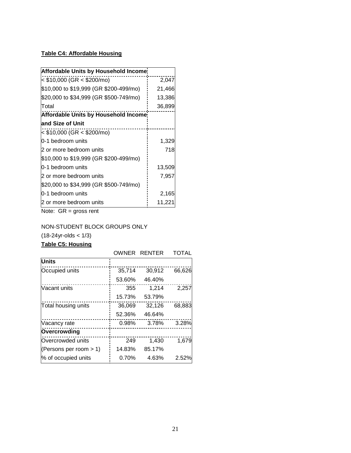### **Table C4: Affordable Housing**

| <b>Affordable Units by Household Income:</b> |        |  |  |  |
|----------------------------------------------|--------|--|--|--|
| $<$ \$10,000 (GR $<$ \$200/mo)               | 2,047  |  |  |  |
| \$10,000 to \$19,999 (GR \$200-499/mo)       | 21,466 |  |  |  |
| \$20,000 to \$34,999 (GR \$500-749/mo)       | 13,386 |  |  |  |
| Total                                        | 36,899 |  |  |  |
| <b>Affordable Units by Household Income</b>  |        |  |  |  |
| and Size of Unit                             |        |  |  |  |
| < \$10,000 (GR < \$200/mo)                   |        |  |  |  |
| 0-1 bedroom units                            | 1,329  |  |  |  |
| 2 or more bedroom units                      | 718    |  |  |  |
| \$10,000 to \$19,999 (GR \$200-499/mo)       |        |  |  |  |
| 0-1 bedroom units                            | 13,509 |  |  |  |
| 2 or more bedroom units                      | 7,957  |  |  |  |
| \$20,000 to \$34,999 (GR \$500-749/mo)       |        |  |  |  |
| 0-1 bedroom units                            | 2,165  |  |  |  |
| 2 or more bedroom units                      | 11,221 |  |  |  |

Note: GR = gross rent

### NON-STUDENT BLOCK GROUPS ONLY

 $(18-24yr-olds < 1/3)$ 

### **Table C5: Housing**

|                           | OWNER  | <b>RENTER</b> | TOTAL  |
|---------------------------|--------|---------------|--------|
| <b>Units</b>              |        |               |        |
| Occupied units            | 35,714 | 30,912        | 66,626 |
|                           | 53.60% | 46.40%        |        |
| Vacant units              | 355    | 1,214         | 2,257  |
|                           | 15.73% | 53.79%        |        |
| Total housing units       | 36,069 | 32,126        | 68,883 |
|                           | 52.36% | 46.64%        |        |
| Vacancy rate              | 0.98%  | 3.78%         | 3.28%  |
| Overcrowding              |        |               |        |
| Overcrowded units         | 249    | 1,430         | 1,679  |
| (Persons per room $> 1$ ) | 14.83% | 85.17%        |        |
| % of occupied units       | 0.70%  | 4.63%         | 2.52%  |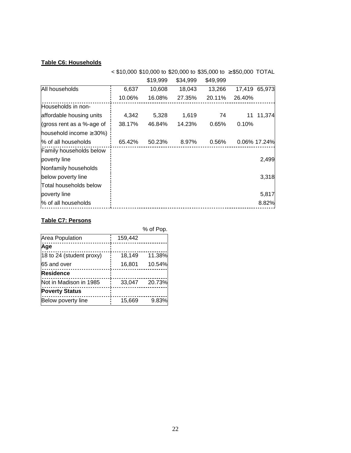### **Table C6: Households**

|                               |        | $\leq$ \$10,000 \$10,000 to \$20,000 to \$35,000 to $\geq$ \$50,000 TOTAL |          |          |        |               |
|-------------------------------|--------|---------------------------------------------------------------------------|----------|----------|--------|---------------|
|                               |        | \$19,999                                                                  | \$34,999 | \$49,999 |        |               |
| All households                | 6,637  | 10,608                                                                    | 18,043   | 13,266   |        | 17,419 65,973 |
|                               | 10.06% | 16.08%                                                                    | 27.35%   | 20.11%   | 26.40% |               |
| Households in non-            |        |                                                                           |          |          |        |               |
| affordable housing units      | 4,342  | 5,328                                                                     | 1,619    | 74       | 11     | 11,374        |
| (gross rent as a %-age of     | 38.17% | 46.84%                                                                    | 14.23%   | 0.65%    | 0.10%  |               |
| household income $\geq$ 30%)  |        |                                                                           |          |          |        |               |
| % of all households           | 65.42% | 50.23%                                                                    | 8.97%    | 0.56%    |        | 0.06% 17.24%  |
| Family households below       |        |                                                                           |          |          |        |               |
| poverty line                  |        |                                                                           |          |          |        | 2,499         |
| Nonfamily households          |        |                                                                           |          |          |        |               |
| below poverty line            |        |                                                                           |          |          |        | 3,318         |
| <b>Total households below</b> |        |                                                                           |          |          |        |               |
| poverty line                  |        |                                                                           |          |          |        | 5,817         |
| % of all households           |        |                                                                           |          |          |        | 8.82%         |

### **Table C7: Persons**

|                          |         | % of Pop. |
|--------------------------|---------|-----------|
| Area Population          | 159,442 |           |
| Age                      |         |           |
| 18 to 24 (student proxy) | 18,149  | 11.38%    |
| 65 and over              | 16,801  | 10.54%    |
| <b>Residence</b>         |         |           |
| Not in Madison in 1985   | 33,047  | 20.73%    |
| <b>Poverty Status</b>    |         |           |
| Below poverty line       | 15,669  | 9.83%     |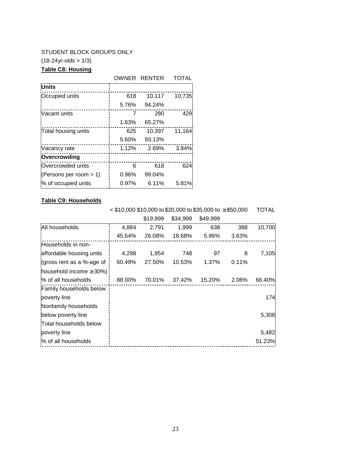### STUDENT BLOCK GROUPS ONLY

 $(18-24yr-olds > 1/3)$ 

### **Table C8: Housing**

### OWNER RENTER TOTAL

| <b>Units</b>              |       |        |        |
|---------------------------|-------|--------|--------|
| Occupied units            | 618   | 10,117 | 10,735 |
|                           | 5.76% | 94.24% |        |
| Vacant units              | 7     | 280    | 429    |
|                           | 1.63% | 65.27% |        |
| Total housing units       | 625   | 10,397 | 11,164 |
|                           | 5.60% | 93.13% |        |
| Vacancy rate              | 1.12% | 2.69%  | 3.84%  |
| Overcrowding              |       |        |        |
| Overcrowded units         | 6     | 618    | 624    |
| (Persons per room $> 1$ ) | 0.96% | 99.04% |        |
| % of occupied units       | 0.97% | 6.11%  | 5.81%  |

## **Table C9: Households**

 < \$10,000 \$10,000 to \$20,000 to \$35,000 to ≥ \$50,000 TOTAL \$19,999 \$34,999 \$49,999

|                               |        | ง เ ว.ววว | <b>D</b> OH.YYY | <b>D</b> HA'AAA |       |        |
|-------------------------------|--------|-----------|-----------------|-----------------|-------|--------|
| All households                | 4,884  | 2,791     | 1,999           | 638             | 388   | 10,700 |
|                               | 45.64% | 26.08%    | 18.68%          | 5.96%           | 3.63% |        |
| Households in non-            |        |           |                 |                 |       |        |
| affordable housing units      | 4,298  | 1,954     | 748             | 97              | 8     | 7,105  |
| (gross rent as a %-age of     | 60.49% | 27.50%    | 10.53%          | 1.37%           | 0.11% |        |
| household income $\geq$ 30%): |        |           |                 |                 |       |        |
| % of all households           | 88.00% | 70.01%    | 37.42%          | 15.20%          | 2.06% | 66.40% |
| Family households below       |        |           |                 |                 |       |        |
| poverty line                  |        |           |                 |                 |       | 174    |
| Nonfamily households          |        |           |                 |                 |       |        |
| below poverty line            |        |           |                 |                 |       | 5,308  |
| <b>Total households below</b> |        |           |                 |                 |       |        |
| poverty line                  |        |           |                 |                 |       | 5,482  |
| % of all households           |        |           |                 |                 |       | 51.23% |
|                               |        |           |                 |                 |       |        |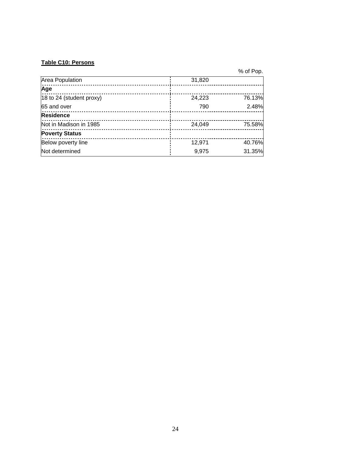### **Table C10: Persons**

% of Pop.

| Area Population          | 31,820 |        |
|--------------------------|--------|--------|
| Age                      |        |        |
| 18 to 24 (student proxy) | 24,223 | 76.13% |
| 65 and over              | 790    | 2.48%  |
| Residence                |        |        |
| Not in Madison in 1985   | 24,049 | 75.58% |
| <b>Poverty Status</b>    |        |        |
| Below poverty line       | 12,971 | 40.76% |
| Not determined           | 9,975  | 31.35% |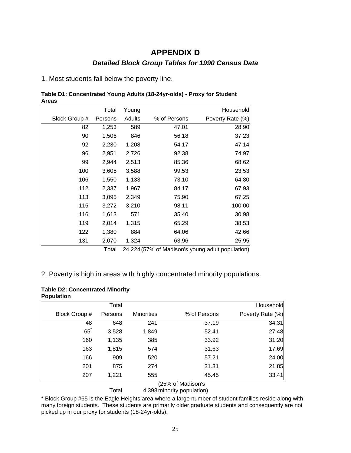# **APPENDIX D Detailed Block Group Tables for 1990 Census Data**

1. Most students fall below the poverty line.

| Table D1: Concentrated Young Adults (18-24yr-olds) - Proxy for Student |  |
|------------------------------------------------------------------------|--|
| <b>Areas</b>                                                           |  |

|               | Total   | Young  |              | Household        |
|---------------|---------|--------|--------------|------------------|
| Block Group # | Persons | Adults | % of Persons | Poverty Rate (%) |
| 82            | 1,253   | 589    | 47.01        | 28.90            |
| 90            | 1,506   | 846    | 56.18        | 37.23            |
| 92            | 2,230   | 1,208  | 54.17        | 47.14            |
| 96            | 2,951   | 2,726  | 92.38        | 74.97            |
| 99            | 2,944   | 2,513  | 85.36        | 68.62            |
| 100           | 3,605   | 3,588  | 99.53        | 23.53            |
| 106           | 1,550   | 1,133  | 73.10        | 64.80            |
| 112           | 2,337   | 1,967  | 84.17        | 67.93            |
| 113           | 3,095   | 2,349  | 75.90        | 67.25            |
| 115           | 3,272   | 3,210  | 98.11        | 100.00           |
| 116           | 1,613   | 571    | 35.40        | 30.98            |
| 119           | 2,014   | 1,315  | 65.29        | 38.53            |
| 122           | 1,380   | 884    | 64.06        | 42.66            |
| 131           | 2,070   | 1,324  | 63.96        | 25.95            |

Total 24,224 (57% of Madison's young adult population)

### 2. Poverty is high in areas with highly concentrated minority populations.

| <b>Table D2: Concentrated Minority</b> |  |
|----------------------------------------|--|
| <b>Population</b>                      |  |

|               | Total   |                   |                   | Household        |
|---------------|---------|-------------------|-------------------|------------------|
| Block Group # | Persons | <b>Minorities</b> | % of Persons      | Poverty Rate (%) |
| 48            | 648     | 241               | 37.19             | 34.31            |
| 65            | 3,528   | 1,849             | 52.41             | 27.48            |
| 160           | 1,135   | 385               | 33.92             | 31.20            |
| 163           | 1,815   | 574               | 31.63             | 17.69            |
| 166           | 909     | 520               | 57.21             | 24.00            |
| 201           | 875     | 274               | 31.31             | 21.85            |
| 207           | 1,221   | 555               | 45.45             | 33.41            |
|               |         |                   | (25% of Madison's |                  |

Total 4,398 minority population)

\* Block Group #65 is the Eagle Heights area where a large number of student families reside along with many foreign students. These students are primarily older graduate students and consequently are not picked up in our proxy for students (18-24yr-olds).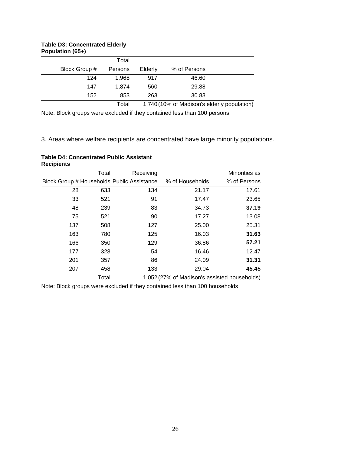### **Table D3: Concentrated Elderly Population (65+)**

| . .           |         |         |              |  |
|---------------|---------|---------|--------------|--|
|               | Total   |         |              |  |
| Block Group # | Persons | Elderly | % of Persons |  |
| 124           | 1.968   | 917     | 46.60        |  |
| 147           | 1.874   | 560     | 29.88        |  |
| 152           | 853     | 263     | 30.83        |  |
|               |         |         |              |  |

Total 1,740 (10% of Madison's elderly population)

Note: Block groups were excluded if they contained less than 100 persons

3. Areas where welfare recipients are concentrated have large minority populations.

| <b>Table D4: Concentrated Public Assistant</b> |  |
|------------------------------------------------|--|
| <b>Recipients</b>                              |  |

| Total | Receiving |                                            | Minorities as |
|-------|-----------|--------------------------------------------|---------------|
|       |           | % of Households                            | % of Persons  |
| 633   | 134       | 21.17                                      | 17.61         |
| 521   | 91        | 17.47                                      | 23.65         |
| 239   | 83        | 34.73                                      | 37.19         |
| 521   | 90        | 17.27                                      | 13.08         |
| 508   | 127       | 25.00                                      | 25.31         |
| 780   | 125       | 16.03                                      | 31.63         |
| 350   | 129       | 36.86                                      | 57.21         |
| 328   | 54        | 16.46                                      | 12.47         |
| 357   | 86        | 24.09                                      | 31.31         |
| 458   | 133       | 29.04                                      | 45.45         |
|       |           | Block Group # Households Public Assistance |               |

Total 1,052 (27% of Madison's assisted households)

Note: Block groups were excluded if they contained less than 100 households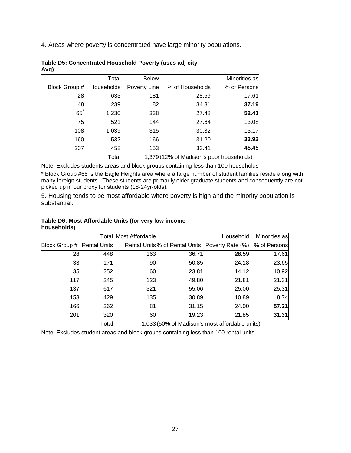4. Areas where poverty is concentrated have large minority populations.

| <u>J/</u>      |            |              |                                          |               |
|----------------|------------|--------------|------------------------------------------|---------------|
|                | Total      | <b>Below</b> |                                          | Minorities as |
| Block Group #  | Households | Poverty Line | % of Households                          | % of Persons  |
| 28             | 633        | 181          | 28.59                                    | 17.61         |
| 48             | 239        | 82           | 34.31                                    | 37.19         |
| $65^{\degree}$ | 1,230      | 338          | 27.48                                    | 52.41         |
| 75             | 521        | 144          | 27.64                                    | 13.08         |
| 108            | 1,039      | 315          | 30.32                                    | 13.17         |
| 160            | 532        | 166          | 31.20                                    | 33.92         |
| 207            | 458        | 153          | 33.41                                    | 45.45         |
|                | Total      |              | 1,379 (12% of Madison's poor households) |               |

#### **Table D5: Concentrated Household Poverty (uses adj city Avg)**

Note: Excludes students areas and block groups containing less than 100 households

\* Block Group #65 is the Eagle Heights area where a large number of student families reside along with many foreign students. These students are primarily older graduate students and consequently are not picked up in our proxy for students (18-24yr-olds).

5. Housing tends to be most affordable where poverty is high and the minority population is substantial.

### **Table D6: Most Affordable Units (for very low income households)**

|                            | <b>Total Most Affordable</b> | Household | Minorities as |                                                 |              |
|----------------------------|------------------------------|-----------|---------------|-------------------------------------------------|--------------|
| Block Group # Rental Units |                              |           |               | Rental Units % of Rental Units Poverty Rate (%) | % of Persons |
| 28                         | 448                          | 163       | 36.71         | 28.59                                           | 17.61        |
| 33                         | 171                          | 90        | 50.85         | 24.18                                           | 23.65        |
| 35                         | 252                          | 60        | 23.81         | 14.12                                           | 10.92        |
| 117                        | 245                          | 123       | 49.80         | 21.81                                           | 21.31        |
| 137                        | 617                          | 321       | 55.06         | 25.00                                           | 25.31        |
| 153                        | 429                          | 135       | 30.89         | 10.89                                           | 8.74         |
| 166                        | 262                          | 81        | 31.15         | 24.00                                           | 57.21        |
| 201                        | 320                          | 60        | 19.23         | 21.85                                           | 31.31        |
|                            | $T0$ tol                     |           |               | 1.022/50% of Modican's most affordable units)   |              |

Total 1,033 (50% of Madison's most affordable units)

Note: Excludes student areas and block groups containing less than 100 rental units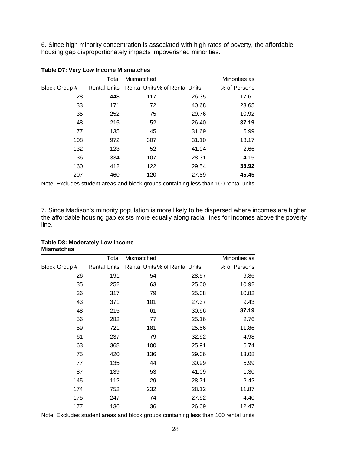6. Since high minority concentration is associated with high rates of poverty, the affordable housing gap disproportionately impacts impoverished minorities.

|               | Total               | Mismatched |                                | Minorities as |
|---------------|---------------------|------------|--------------------------------|---------------|
| Block Group # | <b>Rental Units</b> |            | Rental Units % of Rental Units | % of Persons  |
| 28            | 448                 | 117        | 26.35                          | 17.61         |
| 33            | 171                 | 72         | 40.68                          | 23.65         |
| 35            | 252                 | 75         | 29.76                          | 10.92         |
| 48            | 215                 | 52         | 26.40                          | 37.19         |
| 77            | 135                 | 45         | 31.69                          | 5.99          |
| 108           | 972                 | 307        | 31.10                          | 13.17         |
| 132           | 123                 | 52         | 41.94                          | 2.66          |
| 136           | 334                 | 107        | 28.31                          | 4.15          |
| 160           | 412                 | 122        | 29.54                          | 33.92         |
| 207           | 460                 | 120        | 27.59                          | 45.45         |

### **Table D7: Very Low Income Mismatches**

Note: Excludes student areas and block groups containing less than 100 rental units

7. Since Madison's minority population is more likely to be dispersed where incomes are higher, the affordable housing gap exists more equally along racial lines for incomes above the poverty line.

### **Table D8: Moderately Low Income Mismatches**

|               | Total               | Mismatched |                                | Minorities as |
|---------------|---------------------|------------|--------------------------------|---------------|
| Block Group # | <b>Rental Units</b> |            | Rental Units % of Rental Units | % of Persons  |
| 26            | 191                 | 54         | 28.57                          | 9.86          |
| 35            | 252                 | 63         | 25.00                          | 10.92         |
| 36            | 317                 | 79         | 25.08                          | 10.82         |
| 43            | 371                 | 101        | 27.37                          | 9.43          |
| 48            | 215                 | 61         | 30.96                          | 37.19         |
| 56            | 282                 | 77         | 25.16                          | 2.76          |
| 59            | 721                 | 181        | 25.56                          | 11.86         |
| 61            | 237                 | 79         | 32.92                          | 4.98          |
| 63            | 368                 | 100        | 25.91                          | 6.74          |
| 75            | 420                 | 136        | 29.06                          | 13.08         |
| 77            | 135                 | 44         | 30.99                          | 5.99          |
| 87            | 139                 | 53         | 41.09                          | 1.30          |
| 145           | 112                 | 29         | 28.71                          | 2.42          |
| 174           | 752                 | 232        | 28.12                          | 11.87         |
| 175           | 247                 | 74         | 27.92                          | 4.40          |
| 177           | 136                 | 36         | 26.09                          | 12.47         |

Note: Excludes student areas and block groups containing less than 100 rental units